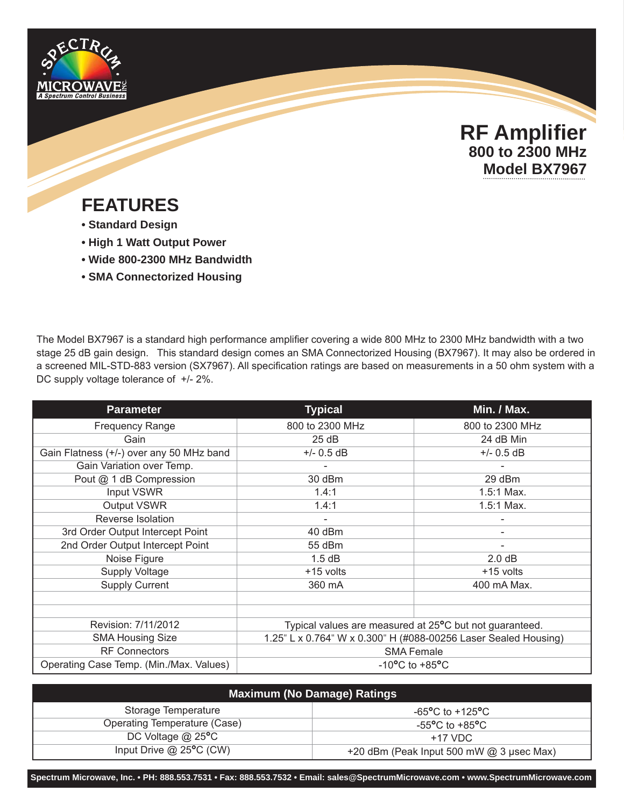



## **FEATURES**

- **Standard Design**
- **High 1 Watt Output Power**
- **Wide 800-2300 MHz Bandwidth**
- **SMA Connectorized Housing**

The Model BX7967 is a standard high performance amplifier covering a wide 800 MHz to 2300 MHz bandwidth with a two stage 25 dB gain design. This standard design comes an SMA Connectorized Housing (BX7967). It may also be ordered in a screened MIL-STD-883 version (SX7967). All specification ratings are based on measurements in a 50 ohm system with a DC supply voltage tolerance of  $+/- 2\%$ .

| <b>Parameter</b>                         | <b>Typical</b>                                                  | Min. / Max.     |
|------------------------------------------|-----------------------------------------------------------------|-----------------|
| <b>Frequency Range</b>                   | 800 to 2300 MHz                                                 | 800 to 2300 MHz |
| Gain                                     | 25dB                                                            | 24 dB Min       |
| Gain Flatness (+/-) over any 50 MHz band | $+/- 0.5$ dB                                                    | $+/- 0.5$ dB    |
| Gain Variation over Temp.                |                                                                 |                 |
| Pout @ 1 dB Compression                  | 30 dBm                                                          | 29 dBm          |
| Input VSWR                               | 1.4:1                                                           | 1.5:1 Max.      |
| Output VSWR                              | 1.4:1                                                           | 1.5:1 Max.      |
| Reverse Isolation                        |                                                                 |                 |
| 3rd Order Output Intercept Point         | 40 dBm                                                          |                 |
| 2nd Order Output Intercept Point         | 55 dBm                                                          |                 |
| Noise Figure                             | 1.5 dB                                                          | 2.0 dB          |
| <b>Supply Voltage</b>                    | +15 volts                                                       | +15 volts       |
| <b>Supply Current</b>                    | 360 mA                                                          | 400 mA Max.     |
|                                          |                                                                 |                 |
|                                          |                                                                 |                 |
| Revision: 7/11/2012                      | Typical values are measured at 25°C but not guaranteed.         |                 |
| <b>SMA Housing Size</b>                  | 1.25" L x 0.764" W x 0.300" H (#088-00256 Laser Sealed Housing) |                 |
| <b>RF Connectors</b>                     | <b>SMA Female</b>                                               |                 |
| Operating Case Temp. (Min./Max. Values)  | $-10^{\circ}$ C to $+85^{\circ}$ C                              |                 |

| <b>Maximum (No Damage) Ratings</b> |                                                      |  |
|------------------------------------|------------------------------------------------------|--|
| Storage Temperature                | $-65^{\circ}$ C to $+125^{\circ}$ C                  |  |
| Operating Temperature (Case)       | -55 $\mathrm{^{\circ}C}$ to +85 $\mathrm{^{\circ}C}$ |  |
| DC Voltage $@$ 25 $°C$             | $+17$ VDC                                            |  |
| Input Drive $@$ 25°C (CW)          | +20 dBm (Peak Input 500 mW @ 3 µsec Max)             |  |

**Spectrum Microwave, Inc. • PH: 888.553.7531 • Fax: 888.553.7532 • Email: sales@SpectrumMicrowave.com • www.SpectrumMicrowave.com**